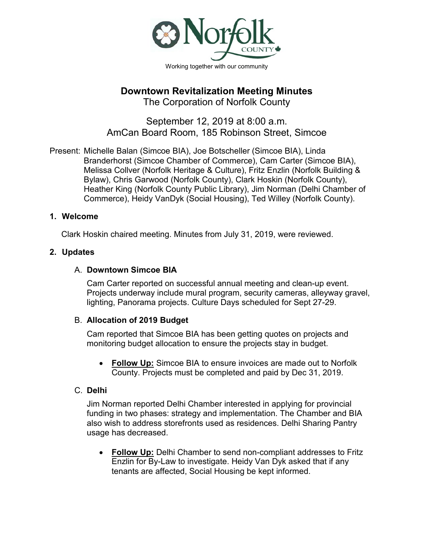

# **Downtown Revitalization Meeting Minutes**

The Corporation of Norfolk County

September 12, 2019 at 8:00 a.m. AmCan Board Room, 185 Robinson Street, Simcoe

Present: Michelle Balan (Simcoe BIA), Joe Botscheller (Simcoe BIA), Linda Branderhorst (Simcoe Chamber of Commerce), Cam Carter (Simcoe BIA), Melissa Collver (Norfolk Heritage & Culture), Fritz Enzlin (Norfolk Building & Bylaw), Chris Garwood (Norfolk County), Clark Hoskin (Norfolk County), Heather King (Norfolk County Public Library), Jim Norman (Delhi Chamber of Commerce), Heidy VanDyk (Social Housing), Ted Willey (Norfolk County).

### **1. Welcome**

Clark Hoskin chaired meeting. Minutes from July 31, 2019, were reviewed.

#### **2. Updates**

## A. **Downtown Simcoe BIA**

Cam Carter reported on successful annual meeting and clean-up event. Projects underway include mural program, security cameras, alleyway gravel, lighting, Panorama projects. Culture Days scheduled for Sept 27-29.

#### B. **Allocation of 2019 Budget**

Cam reported that Simcoe BIA has been getting quotes on projects and monitoring budget allocation to ensure the projects stay in budget.

• **Follow Up:** Simcoe BIA to ensure invoices are made out to Norfolk County. Projects must be completed and paid by Dec 31, 2019.

## C. **Delhi**

Jim Norman reported Delhi Chamber interested in applying for provincial funding in two phases: strategy and implementation. The Chamber and BIA also wish to address storefronts used as residences. Delhi Sharing Pantry usage has decreased.

• **Follow Up:** Delhi Chamber to send non-compliant addresses to Fritz Enzlin for By-Law to investigate. Heidy Van Dyk asked that if any tenants are affected, Social Housing be kept informed.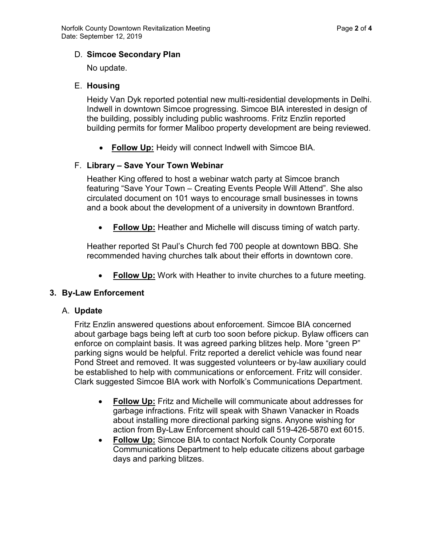## D. **Simcoe Secondary Plan**

No update.

## E. **Housing**

Heidy Van Dyk reported potential new multi-residential developments in Delhi. Indwell in downtown Simcoe progressing. Simcoe BIA interested in design of the building, possibly including public washrooms. Fritz Enzlin reported building permits for former Maliboo property development are being reviewed.

• **Follow Up:** Heidy will connect Indwell with Simcoe BIA.

## F. **Library – Save Your Town Webinar**

Heather King offered to host a webinar watch party at Simcoe branch featuring "Save Your Town – Creating Events People Will Attend". She also circulated document on 101 ways to encourage small businesses in towns and a book about the development of a university in downtown Brantford.

• **Follow Up:** Heather and Michelle will discuss timing of watch party.

Heather reported St Paul's Church fed 700 people at downtown BBQ. She recommended having churches talk about their efforts in downtown core.

**Follow Up:** Work with Heather to invite churches to a future meeting.

## **3. By-Law Enforcement**

## A. **Update**

Fritz Enzlin answered questions about enforcement. Simcoe BIA concerned about garbage bags being left at curb too soon before pickup. Bylaw officers can enforce on complaint basis. It was agreed parking blitzes help. More "green P" parking signs would be helpful. Fritz reported a derelict vehicle was found near Pond Street and removed. It was suggested volunteers or by-law auxiliary could be established to help with communications or enforcement. Fritz will consider. Clark suggested Simcoe BIA work with Norfolk's Communications Department.

- **Follow Up:** Fritz and Michelle will communicate about addresses for garbage infractions. Fritz will speak with Shawn Vanacker in Roads about installing more directional parking signs. Anyone wishing for action from By-Law Enforcement should call 519-426-5870 ext 6015.
- **Follow Up:** Simcoe BIA to contact Norfolk County Corporate Communications Department to help educate citizens about garbage days and parking blitzes.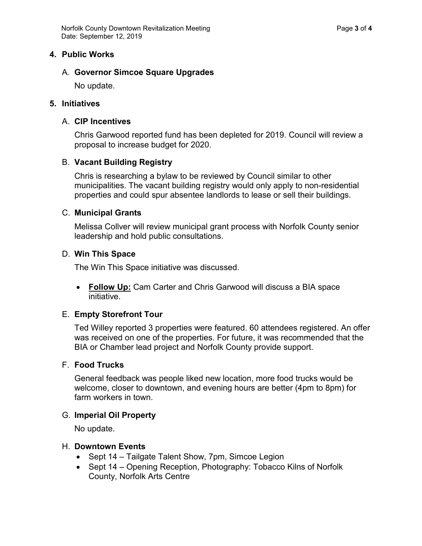#### **4. Public Works**

#### A. **Governor Simcoe Square Upgrades**

No update.

#### **5. Initiatives**

#### A. **CIP Incentives**

Chris Garwood reported fund has been depleted for 2019. Council will review a proposal to increase budget for 2020.

#### B. **Vacant Building Registry**

Chris is researching a bylaw to be reviewed by Council similar to other municipalities. The vacant building registry would only apply to non-residential properties and could spur absentee landlords to lease or sell their buildings.

#### C. **Municipal Grants**

Melissa Collver will review municipal grant process with Norfolk County senior leadership and hold public consultations.

#### D. **Win This Space**

The Win This Space initiative was discussed.

• **Follow Up:** Cam Carter and Chris Garwood will discuss a BIA space initiative.

#### E. **Empty Storefront Tour**

Ted Willey reported 3 properties were featured. 60 attendees registered. An offer was received on one of the properties. For future, it was recommended that the BIA or Chamber lead project and Norfolk County provide support.

#### F. **Food Trucks**

General feedback was people liked new location, more food trucks would be welcome, closer to downtown, and evening hours are better (4pm to 8pm) for farm workers in town.

#### G. **Imperial Oil Property**

No update.

#### H. **Downtown Events**

- Sept 14 Tailgate Talent Show, 7pm, Simcoe Legion
- Sept 14 Opening Reception, Photography: Tobacco Kilns of Norfolk County, Norfolk Arts Centre